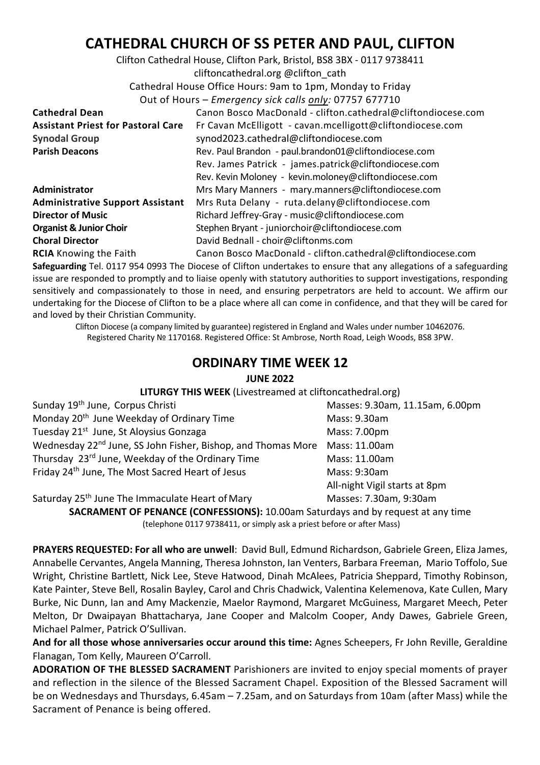## **CATHEDRAL CHURCH OF SS PETER AND PAUL, CLIFTON**

Clifton Cathedral House, Clifton Park, Bristol, BS8 3BX - 0117 9738411 cliftoncathedral.org @clifton\_cath Cathedral House Office Hours: 9am to 1pm, Monday to Friday Out of Hours – *Emergency sick calls only:* 07757 677710 **Cathedral Dean** Canon Bosco MacDonald - clifton.cathedral@cliftondiocese.com **Assistant Priest for Pastoral Care** Fr Cavan McElligott - cavan.mcelligott@cliftondiocese.com **Synodal Group** synod2023.cathedral@cliftondiocese.com **Parish Deacons** Rev. Paul Brandon - paul.brandon01@cliftondiocese.com Rev. James Patrick - james.patrick@cliftondiocese.com Rev. Kevin Moloney - kevin.moloney@cliftondiocese.com Administrator Mrs Mary Manners - mary.manners@cliftondiocese.com **Administrative Support Assistant** Mrs Ruta Delany - ruta.delany@cliftondiocese.com **Director of Music Richard Jeffrey-Gray - music@cliftondiocese.com Organist & Junior Choir** Stephen Bryant - juniorchoir@cliftondiocese.com **Choral Director** David Bednall - choir@cliftonms.com

**RCIA** Knowing the Faith Canon Bosco MacDonald - clifton.cathedral@cliftondiocese.com **Safeguarding** Tel. 0117 954 0993 The Diocese of Clifton undertakes to ensure that any allegations of a safeguarding issue are responded to promptly and to liaise openly with statutory authorities to support investigations, responding sensitively and compassionately to those in need, and ensuring perpetrators are held to account. We affirm our undertaking for the Diocese of Clifton to be a place where all can come in confidence, and that they will be cared for and loved by their Christian Community.

Clifton Diocese (a company limited by guarantee) registered in England and Wales under number 10462076. Registered Charity № 1170168. Registered Office: St Ambrose, North Road, Leigh Woods, BS8 3PW.

## **ORDINARY TIME WEEK 12**

## **JUNE 2022**

**LITURGY THIS WEEK** (Livestreamed at cliftoncathedral.org)

| Sunday 19 <sup>th</sup> June, Corpus Christi                                           | Masses: 9.30am, 11.15am, 6.00pm |
|----------------------------------------------------------------------------------------|---------------------------------|
| Monday 20 <sup>th</sup> June Weekday of Ordinary Time                                  | Mass: 9.30am                    |
| Tuesday 21 <sup>st</sup> June, St Aloysius Gonzaga                                     | Mass: 7.00pm                    |
| Wednesday 22 <sup>nd</sup> June, SS John Fisher, Bishop, and Thomas More Mass: 11.00am |                                 |
| Thursday 23 <sup>rd</sup> June, Weekday of the Ordinary Time                           | Mass: 11.00am                   |
| Friday 24 <sup>th</sup> June, The Most Sacred Heart of Jesus                           | Mass: 9:30am                    |
|                                                                                        | All-night Vigil starts at 8pm   |

Saturday 25<sup>th</sup> June The Immaculate Heart of Mary Masses: 7.30am, 9:30am

**SACRAMENT OF PENANCE (CONFESSIONS):** 10.00am Saturdays and by request at any time (telephone 0117 9738411, or simply ask a priest before or after Mass)

**PRAYERS REQUESTED: For all who are unwell**: David Bull, Edmund Richardson, Gabriele Green, Eliza James, Annabelle Cervantes, Angela Manning, Theresa Johnston, Ian Venters, Barbara Freeman, Mario Toffolo, Sue Wright, Christine Bartlett, Nick Lee, Steve Hatwood, Dinah McAlees, Patricia Sheppard, Timothy Robinson, Kate Painter, Steve Bell, Rosalin Bayley, Carol and Chris Chadwick, Valentina Kelemenova, Kate Cullen, Mary Burke, Nic Dunn, Ian and Amy Mackenzie, Maelor Raymond, Margaret McGuiness, Margaret Meech, Peter Melton, Dr Dwaipayan Bhattacharya, Jane Cooper and Malcolm Cooper, Andy Dawes, Gabriele Green, Michael Palmer, Patrick O'Sullivan.

**And for all those whose anniversaries occur around this time:** Agnes Scheepers, Fr John Reville, Geraldine Flanagan, Tom Kelly, Maureen O'Carroll.

**ADORATION OF THE BLESSED SACRAMENT** Parishioners are invited to enjoy special moments of prayer and reflection in the silence of the Blessed Sacrament Chapel. Exposition of the Blessed Sacrament will be on Wednesdays and Thursdays, 6.45am – 7.25am, and on Saturdays from 10am (after Mass) while the Sacrament of Penance is being offered.